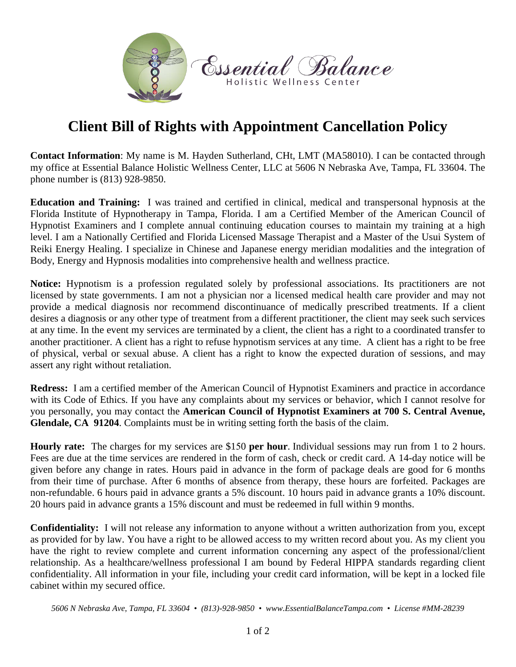

## **Client Bill of Rights with Appointment Cancellation Policy**

**Contact Information**: My name is M. Hayden Sutherland, CHt, LMT (MA58010). I can be contacted through my office at Essential Balance Holistic Wellness Center, LLC at 5606 N Nebraska Ave, Tampa, FL 33604. The phone number is (813) 928-9850.

**Education and Training:**I was trained and certified in clinical, medical and transpersonal hypnosis at the Florida Institute of Hypnotherapy in Tampa, Florida. I am a Certified Member of the American Council of Hypnotist Examiners and I complete annual continuing education courses to maintain my training at a high level. I am a Nationally Certified and Florida Licensed Massage Therapist and a Master of the Usui System of Reiki Energy Healing. I specialize in Chinese and Japanese energy meridian modalities and the integration of Body, Energy and Hypnosis modalities into comprehensive health and wellness practice.

**Notice:** Hypnotism is a profession regulated solely by professional associations. Its practitioners are not licensed by state governments. I am not a physician nor a licensed medical health care provider and may not provide a medical diagnosis nor recommend discontinuance of medically prescribed treatments. If a client desires a diagnosis or any other type of treatment from a different practitioner, the client may seek such services at any time. In the event my services are terminated by a client, the client has a right to a coordinated transfer to another practitioner. A client has a right to refuse hypnotism services at any time. A client has a right to be free of physical, verbal or sexual abuse. A client has a right to know the expected duration of sessions, and may assert any right without retaliation.

**Redress:** I am a certified member of the American Council of Hypnotist Examiners and practice in accordance with its Code of Ethics. If you have any complaints about my services or behavior, which I cannot resolve for you personally, you may contact the **American Council of Hypnotist Examiners at 700 S. Central Avenue, Glendale, CA 91204**. Complaints must be in writing setting forth the basis of the claim.

**Hourly rate:** The charges for my services are \$150 **per hour**. Individual sessions may run from 1 to 2 hours. Fees are due at the time services are rendered in the form of cash, check or credit card. A 14-day notice will be given before any change in rates. Hours paid in advance in the form of package deals are good for 6 months from their time of purchase. After 6 months of absence from therapy, these hours are forfeited. Packages are non-refundable. 6 hours paid in advance grants a 5% discount. 10 hours paid in advance grants a 10% discount. 20 hours paid in advance grants a 15% discount and must be redeemed in full within 9 months.

**Confidentiality:** I will not release any information to anyone without a written authorization from you, except as provided for by law. You have a right to be allowed access to my written record about you. As my client you have the right to review complete and current information concerning any aspect of the professional/client relationship. As a healthcare/wellness professional I am bound by Federal HIPPA standards regarding client confidentiality. All information in your file, including your credit card information, will be kept in a locked file cabinet within my secured office.

*5606 N Nebraska Ave, Tampa, FL 33604 • (813)-928-9850 • www.EssentialBalanceTampa.com • License #MM-28239*